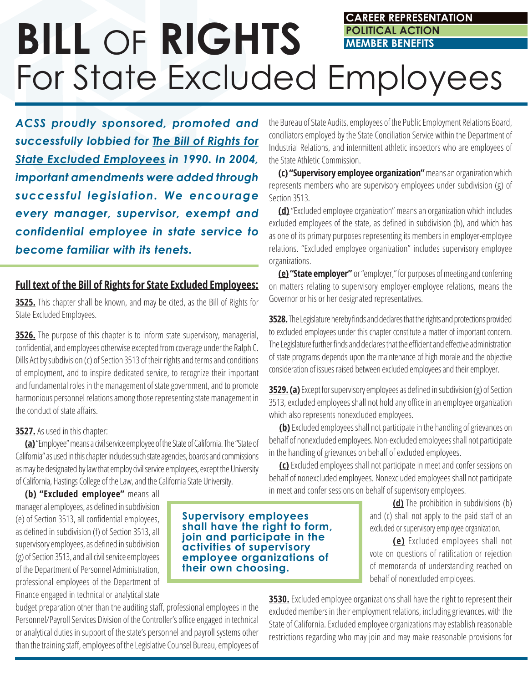## **BILL** OF **RIGHTS** For State Excluded Employees **CAREER REPRESENTATION POLITICAL ACTION MEMBER BENEFITS**

*ACSS proudly sponsored, promoted and successfully lobbied for The Bill of Rights for State Excluded Employees in 1990. In 2004, important amendments were added through successful legislation. We encourage every manager, supervisor, exempt and confidential employee in state service to become familiar with its tenets.*

## **Full text of the Bill of Rights for State Excluded Employees:**

**3525.** This chapter shall be known, and may be cited, as the Bill of Rights for State Excluded Employees.

**3526.** The purpose of this chapter is to inform state supervisory, managerial, confidential, and employees otherwise excepted from coverage under the Ralph C. Dills Act by subdivision (c) of Section 3513 of their rights and terms and conditions of employment, and to inspire dedicated service, to recognize their important and fundamental roles in the management of state government, and to promote harmonious personnel relations among those representing state management in the conduct of state affairs.

## **3527.** As used in this chapter:

**(a)** "Employee" means a civil service employee of the State of California. The "State of California" as used in this chapter includes such state agencies, boards and commissions as may be designated by law that employ civil service employees, except the University of California, Hastings College of the Law, and the California State University.

**(b) "Excluded employee"** means all managerial employees, as defined in subdivision (e) of Section 3513, all confidential employees, as defined in subdivision (f) of Section 3513, all supervisory employees, as defined in subdivision (g) of Section 3513, and all civil service employees of the Department of Personnel Administration, professional employees of the Department of Finance engaged in technical or analytical state

budget preparation other than the auditing staff, professional employees in the Personnel/Payroll Services Division of the Controller's office engaged in technical or analytical duties in support of the state's personnel and payroll systems other than the training staff, employees of the Legislative Counsel Bureau, employees of

**Supervisory employees shall have the right to form, join and participate in the activities of supervisory employee organizations of their own choosing.**

the Bureau of State Audits, employees of the Public Employment Relations Board, conciliators employed by the State Conciliation Service within the Department of Industrial Relations, and intermittent athletic inspectors who are employees of the State Athletic Commission.

**(c) "Supervisory employee organization"** means an organization which represents members who are supervisory employees under subdivision (g) of Section 3513.

**(d)** "Excluded employee organization" means an organization which includes excluded employees of the state, as defined in subdivision (b), and which has as one of its primary purposes representing its members in employer-employee relations. "Excluded employee organization" includes supervisory employee organizations.

**(e) "State employer"** or "employer," for purposes of meeting and conferring on matters relating to supervisory employer-employee relations, means the Governor or his or her designated representatives.

**3528.** The Legislature hereby finds and declares that the rights and protections provided to excluded employees under this chapter constitute a matter of important concern. The Legislature further finds and declares that the efficient and effective administration of state programs depends upon the maintenance of high morale and the objective consideration of issues raised between excluded employees and their employer.

**3529.(a)** Except for supervisory employees as defined in subdivision (g) of Section 3513, excluded employees shall not hold any office in an employee organization which also represents nonexcluded employees.

**(b)** Excluded employees shall not participate in the handling of grievances on behalf of nonexcluded employees. Non-excluded employees shall not participate in the handling of grievances on behalf of excluded employees.

**(c)** Excluded employees shall not participate in meet and confer sessions on behalf of nonexcluded employees. Nonexcluded employees shall not participate in meet and confer sessions on behalf of supervisory employees.

> **(d)** The prohibition in subdivisions (b) and (c) shall not apply to the paid staff of an excluded or supervisory employee organization.

> **(e)** Excluded employees shall not vote on questions of ratification or rejection of memoranda of understanding reached on behalf of nonexcluded employees.

**3530.** Excluded employee organizations shall have the right to represent their excluded members in their employment relations, including grievances, with the State of California. Excluded employee organizations may establish reasonable restrictions regarding who may join and may make reasonable provisions for